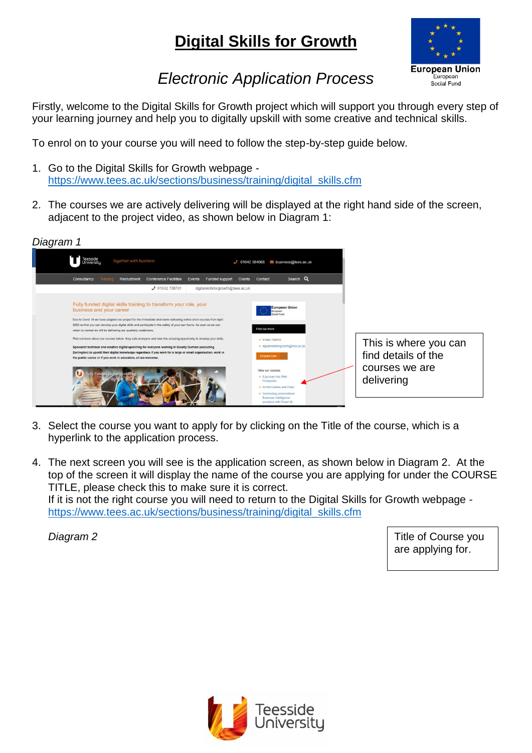## **Digital Skills for Growth**



## *Electronic Application Process*

Firstly, welcome to the Digital Skills for Growth project which will support you through every step of your learning journey and help you to digitally upskill with some creative and technical skills.

To enrol on to your course you will need to follow the step-by-step guide below.

- 1. Go to the Digital Skills for Growth webpage [https://www.tees.ac.uk/sections/business/training/digital\\_skills.cfm](https://www.tees.ac.uk/sections/business/training/digital_skills.cfm)
- 2. The courses we are actively delivering will be displayed at the right hand side of the screen, adjacent to the project video, as shown below in Diagram 1:



- 3. Select the course you want to apply for by clicking on the Title of the course, which is a hyperlink to the application process.
- 4. The next screen you will see is the application screen, as shown below in Diagram 2. At the top of the screen it will display the name of the course you are applying for under the COURSE TITLE, please check this to make sure it is correct. If it is not the right course you will need to return to the Digital Skills for Growth webpage [https://www.tees.ac.uk/sections/business/training/digital\\_skills.cfm](https://www.tees.ac.uk/sections/business/training/digital_skills.cfm)

*Diagram 2*

Title of Course you are applying for.

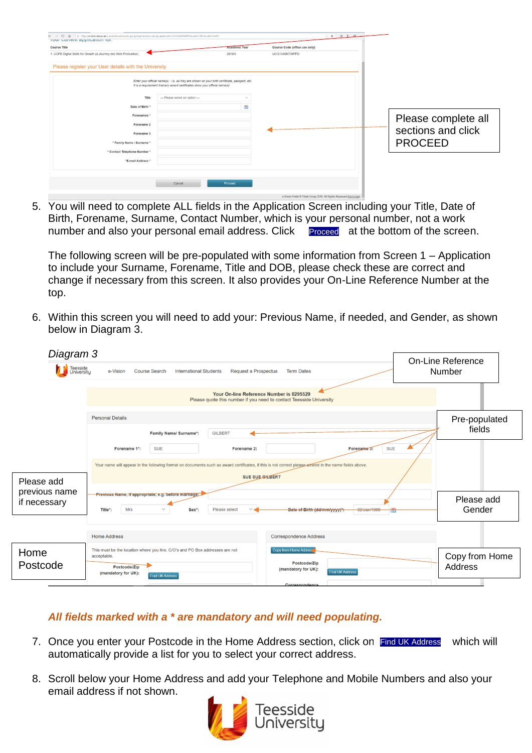| ← → D @ B Imps//e-vision.teesacak/ii.pmd/itsiunt/nanziw.jpp.jgnloginfprocess=siw.jpp.jpp/codet-UCS156SNTWPPD&code2=0011&code3=0UST<br>rour current application for. |                                                                                                                                                                              |                      |                               | 日吉 当 人 路 |                     |
|---------------------------------------------------------------------------------------------------------------------------------------------------------------------|------------------------------------------------------------------------------------------------------------------------------------------------------------------------------|----------------------|-------------------------------|----------|---------------------|
| Course Title                                                                                                                                                        |                                                                                                                                                                              | <b>Academic Year</b> | Course Code (office use only) |          |                     |
| 1. UCPD Digital Skills for Growth (A Journey into Web Production)                                                                                                   |                                                                                                                                                                              | 2019/0               | UCIS1045NTWPPD                |          |                     |
| Please register your User details with the University                                                                                                               |                                                                                                                                                                              |                      |                               |          |                     |
|                                                                                                                                                                     | Enter your official name(s) - i.e. as they are shown on your birth certificate, passport, etc.<br>It is a requirement that any award certificates show your official name(s) |                      |                               |          |                     |
| Title                                                                                                                                                               | --- Please select an option ---                                                                                                                                              |                      |                               |          |                     |
| Date of Birth *                                                                                                                                                     |                                                                                                                                                                              | 因                    |                               |          |                     |
| Forenames *                                                                                                                                                         |                                                                                                                                                                              |                      |                               |          | Please complete all |
| Forename 2                                                                                                                                                          |                                                                                                                                                                              |                      |                               |          | sections and click  |
| Forename 3                                                                                                                                                          |                                                                                                                                                                              |                      |                               |          |                     |
| * Family Name / Surname *                                                                                                                                           |                                                                                                                                                                              |                      |                               |          | <b>PROCEED</b>      |
| * Contact Telephone Number *                                                                                                                                        |                                                                                                                                                                              |                      |                               |          |                     |
| "E-mail Address "                                                                                                                                                   |                                                                                                                                                                              |                      |                               |          |                     |
|                                                                                                                                                                     |                                                                                                                                                                              |                      |                               |          |                     |
|                                                                                                                                                                     | Cancel                                                                                                                                                                       | Proceed              |                               |          |                     |
|                                                                                                                                                                     |                                                                                                                                                                              |                      |                               |          |                     |

5. You will need to complete ALL fields in the Application Screen including your Title, Date of Birth, Forename, Surname, Contact Number, which is your personal number, not a work number and also your personal email address. Click Proceed at the bottom of the screen.

The following screen will be pre-populated with some information from Screen 1 – Application to include your Surname, Forename, Title and DOB, please check these are correct and change if necessary from this screen. It also provides your On-Line Reference Number at the top.

6. Within this screen you will need to add your: Previous Name, if needed, and Gender, as shown below in Diagram 3.

| Diagram 3                     |                                                                                                                                                                                                   |                                                                                                                              | <b>On-Line Reference</b>         |
|-------------------------------|---------------------------------------------------------------------------------------------------------------------------------------------------------------------------------------------------|------------------------------------------------------------------------------------------------------------------------------|----------------------------------|
| Teesside<br>University        | Number                                                                                                                                                                                            |                                                                                                                              |                                  |
|                               | Your On-line Reference Number is 0295529<br>Please quote this number if you need to contact Teesside University                                                                                   |                                                                                                                              |                                  |
|                               | <b>Personal Details</b><br><b>Family Name/ Surname*:</b><br><b>GILBERT</b>                                                                                                                        |                                                                                                                              | Pre-populated<br>fields          |
|                               | Forename 1*:<br><b>SUE</b><br>Forename 2:<br>Your name will appear in the following format on documents such as award certificates, if this is not correct please amend in the name fields above. | <b>SUE</b><br>Forename 3:                                                                                                    |                                  |
| Please add                    | <b>SUE SUE GILBERT</b>                                                                                                                                                                            |                                                                                                                              |                                  |
| previous name<br>if necessary | Previous Name, if appropriate, e.g. before marriage:<br>Mrs<br>Please select<br>Title*:<br>Sex <sup>*</sup> :                                                                                     | Please add<br>Gender                                                                                                         |                                  |
|                               | <b>Home Address</b>                                                                                                                                                                               | <b>Correspondence Address</b>                                                                                                |                                  |
| Home<br>Postcode              | This must be the location where you live. C/O's and PO Box addresses are not<br>acceptable.<br>Postcode/Zip<br>(mandatory for UK):<br><b>Find UK Address</b>                                      | <b>Copy from Home Address</b><br>Postcode/Zip<br>(mandatory for UK):<br><b>Find UK Address</b><br>A construction of the con- | Copy from Home<br><b>Address</b> |

## *All fields marked with a \* are mandatory and will need populating.*

- 7. Once you enter your Postcode in the Home Address section, click on Find UK Address which will automatically provide a list for you to select your correct address.
- 8. Scroll below your Home Address and add your Telephone and Mobile Numbers and also your email address if not shown.

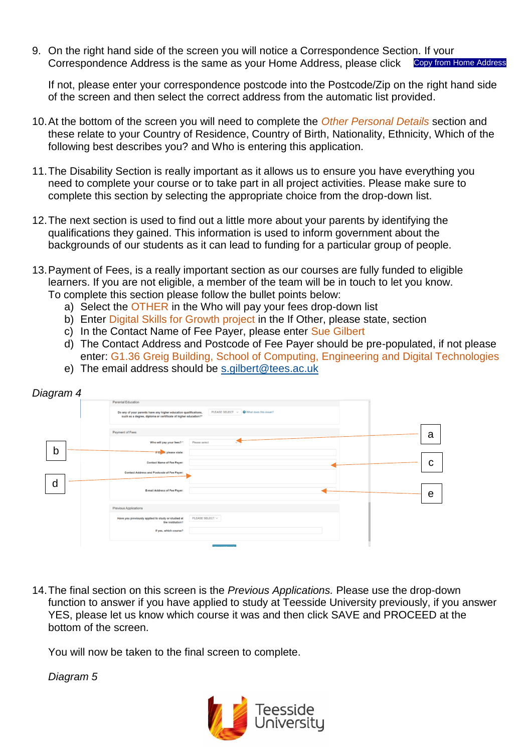9. On the right hand side of the screen you will notice a Correspondence Section. If your Correspondence Address is the same as your Home Address, please click Copy from Home Address

If not, please enter your correspondence postcode into the Postcode/Zip on the right hand side of the screen and then select the correct address from the automatic list provided.

- 10.At the bottom of the screen you will need to complete the *Other Personal Details* section and these relate to your Country of Residence, Country of Birth, Nationality, Ethnicity, Which of the following best describes you? and Who is entering this application.
- 11.The Disability Section is really important as it allows us to ensure you have everything you need to complete your course or to take part in all project activities. Please make sure to complete this section by selecting the appropriate choice from the drop-down list.
- 12.The next section is used to find out a little more about your parents by identifying the qualifications they gained. This information is used to inform government about the backgrounds of our students as it can lead to funding for a particular group of people.
- 13.Payment of Fees, is a really important section as our courses are fully funded to eligible learners. If you are not eligible, a member of the team will be in touch to let you know. To complete this section please follow the bullet points below:
	- a) Select the OTHER in the Who will pay your fees drop-down list
	- b) Enter Digital Skills for Growth project in the If Other, please state, section
	- c) In the Contact Name of Fee Payer, please enter Sue Gilbert
	- d) The Contact Address and Postcode of Fee Payer should be pre-populated, if not please enter: G1.36 Greig Building, School of Computing, Engineering and Digital Technologies
	- e) The email address should be [s.gilbert@tees.ac.uk](mailto:s.gilbert@tees.ac.uk)

| Diagram 4 |                                                                                                                                                                                                        |   |
|-----------|--------------------------------------------------------------------------------------------------------------------------------------------------------------------------------------------------------|---|
|           | Parental Education                                                                                                                                                                                     |   |
|           | PLEASE SELECT $\vee$ $\bigcirc$ What does this mean?<br>Do any of your parents have any higher education qualifications,<br>such as a degree, diploma or certificate of higher education? <sup>*</sup> |   |
|           | Payment of Fees                                                                                                                                                                                        | a |
|           | Who will pay your fees? *<br>Please select                                                                                                                                                             |   |
| b         | If O M, please state:                                                                                                                                                                                  |   |
|           | <b>Contact Name of Fee Payer:</b>                                                                                                                                                                      | С |
|           | Contact Address and Postcode of Fee Payer:                                                                                                                                                             |   |
| d         | E-mail Address of Fee Payer:                                                                                                                                                                           | е |
|           | Previous Applications                                                                                                                                                                                  |   |
|           | PLEASE SELECT $\vee$<br>Have you previously applied to study or studied at<br>the institution?                                                                                                         |   |
|           | If yes, which course?                                                                                                                                                                                  |   |
|           |                                                                                                                                                                                                        |   |

14.The final section on this screen is the *Previous Applications.* Please use the drop-down function to answer if you have applied to study at Teesside University previously, if you answer YES, please let us know which course it was and then click SAVE and PROCEED at the bottom of the screen.

You will now be taken to the final screen to complete.

*Diagram 5*